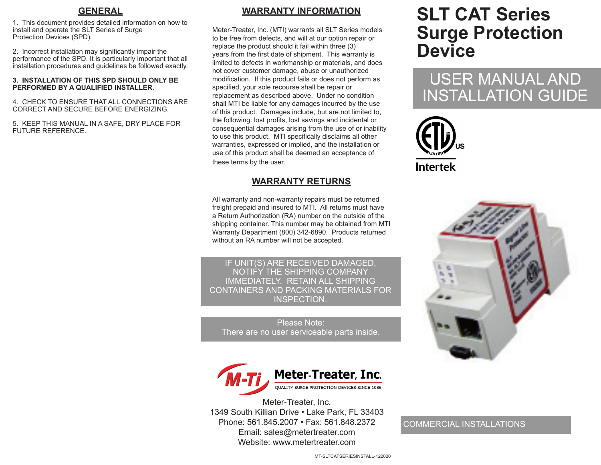#### **GENERAL**

1. This document provides detailed information on how to install and operate the SLT Series of Surge Protection Devices (SPD).

2. Incorrect installation may significantly impair the performance of the SPD. It is particularly important that all installation procedures and guidelines be followed exactly.

#### **3. INSTALLATION OF THIS SPD SHOULD ONLY BE PERFORMED BY A QUALIFIED INSTALLER.**

4. CHECK TO ENSURE THAT ALL CONNECTIONS ARE CORRECT AND SECURE BEFORE ENERGIZING.

5. KEEP THIS MANUAL IN A SAFE, DRY PLACE FOR FUTURE REFERENCE.

### **WARRANTY INFORMATION**

Meter-Treater, Inc. (MTI) warrants all SLT Series models to be free from defects, and will at our option repair or replace the product should it fail within three (3) years from the first date of shipment. This warranty is limited to defects in workmanship or materials, and does not cover customer damage, abuse or unauthorized modification. If this product fails or does not perform as specified, your sole recourse shall be repair or replacement as described above. Under no condition shall MTI be liable for any damages incurred by the use of this product. Damages include, but are not limited to, the following: lost profits, lost savings and incidental or consequential damages arising from the use of or inability to use this product. MTI specifically disclaims all other warranties, expressed or implied, and the installation or use of this product shall be deemed an acceptance of these terms by the user.

#### **WARRANTY RETURNS**

All warranty and non-warranty repairs must be returned freight prepaid and insured to MTI. All returns must have a Return Authorization (RA) number on the outside of the shipping container. This number may be obtained from MTI Warranty Department (800) 342-6890. Products returned without an RA number will not be accepted.

IF UNIT(S) ARE RECEIVED DAMAGED, NOTIFY THE SHIPPING COMPANY IMMEDIATELY. RETAIN ALL SHIPPING CONTAINERS AND PACKING MATERIALS FOR INSPECTION.

Please Note: There are no user serviceable parts inside.



Meter-Treater, Inc. 1349 South Killian Drive • Lake Park, FL 33403 Phone: 561.845.2007 • Fax: 561.848.2372 Email: sales@metertreater.com Website: www.metertreater.com

# **SLT CAT Series Surge Protection Device**

# USER MANUAL AND INSTALLATION GUIDE





#### COMMERCIAL INSTALLATIONS